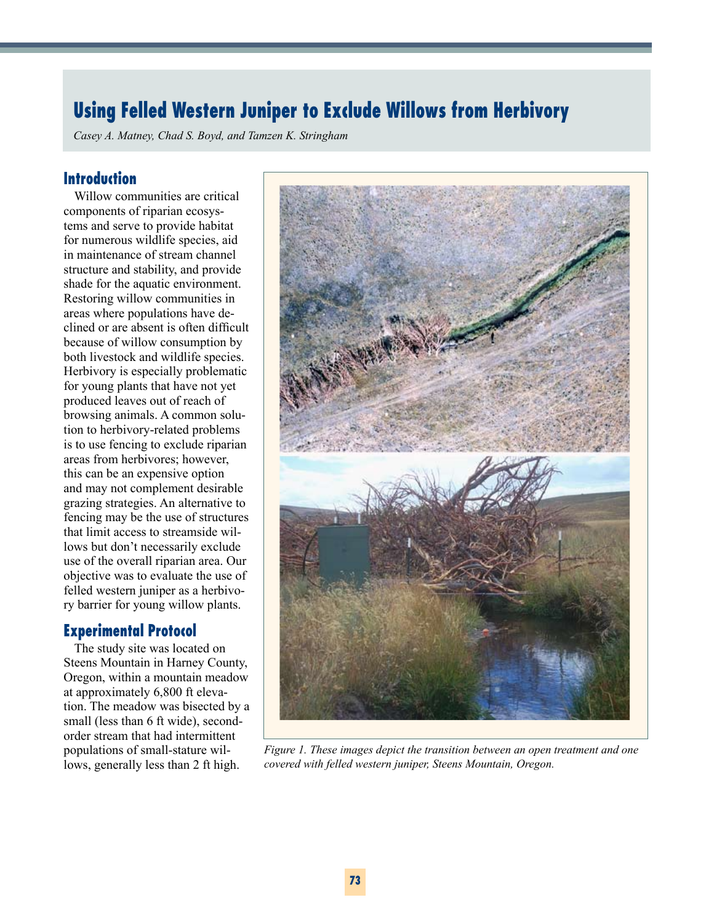# **Using Felled Western Juniper to Exclude Willows from Herbivory**

*Casey A. Matney, Chad S. Boyd, and Tamzen K. Stringham*

## **Introduction**

Willow communities are critical components of riparian ecosystems and serve to provide habitat for numerous wildlife species, aid in maintenance of stream channel structure and stability, and provide shade for the aquatic environment. Restoring willow communities in areas where populations have declined or are absent is often difficult because of willow consumption by both livestock and wildlife species. Herbivory is especially problematic for young plants that have not yet produced leaves out of reach of browsing animals. A common solution to herbivory-related problems is to use fencing to exclude riparian areas from herbivores; however, this can be an expensive option and may not complement desirable grazing strategies. An alternative to fencing may be the use of structures that limit access to streamside willows but don't necessarily exclude use of the overall riparian area. Our objective was to evaluate the use of felled western juniper as a herbivory barrier for young willow plants.

## **Experimental Protocol**

The study site was located on Steens Mountain in Harney County, Oregon, within a mountain meadow at approximately 6,800 ft elevation. The meadow was bisected by a small (less than 6 ft wide), secondorder stream that had intermittent populations of small-stature willows, generally less than 2 ft high.



*Figure 1. These images depict the transition between an open treatment and one covered with felled western juniper, Steens Mountain, Oregon.*